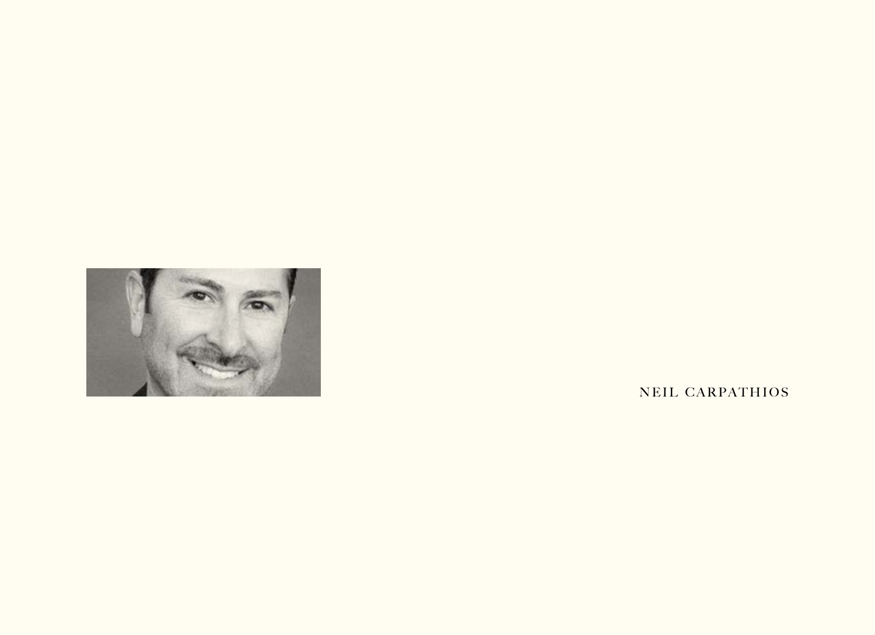

NEIL CARPATHIOS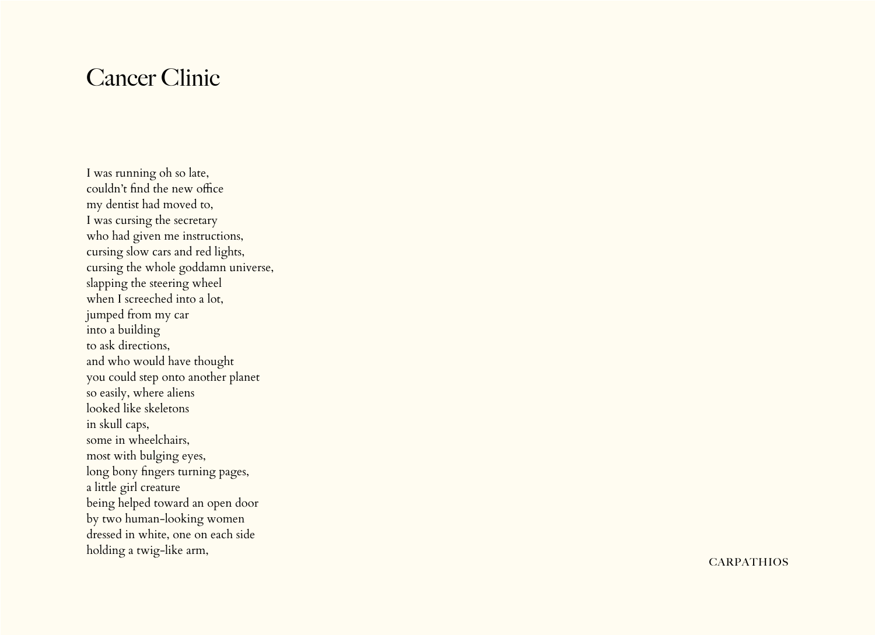## Cancer Clinic

I was running oh so late, couldn't find the new office my dentist had moved to, I was cursing the secretary who had given me instructions, cursing slow cars and red lights, cursing the whole goddamn universe, slapping the steering wheel when I screeched into a lot, jumped from my car into a building to ask directions, and who would have thought you could step onto another planet so easily, where aliens looked like skeletons in skull caps, some in wheelchairs, most with bulging eyes, long bony fingers turning pages, a little girl creature being helped toward an open door by two human-looking women dressed in white, one on each side holding a twig-like arm,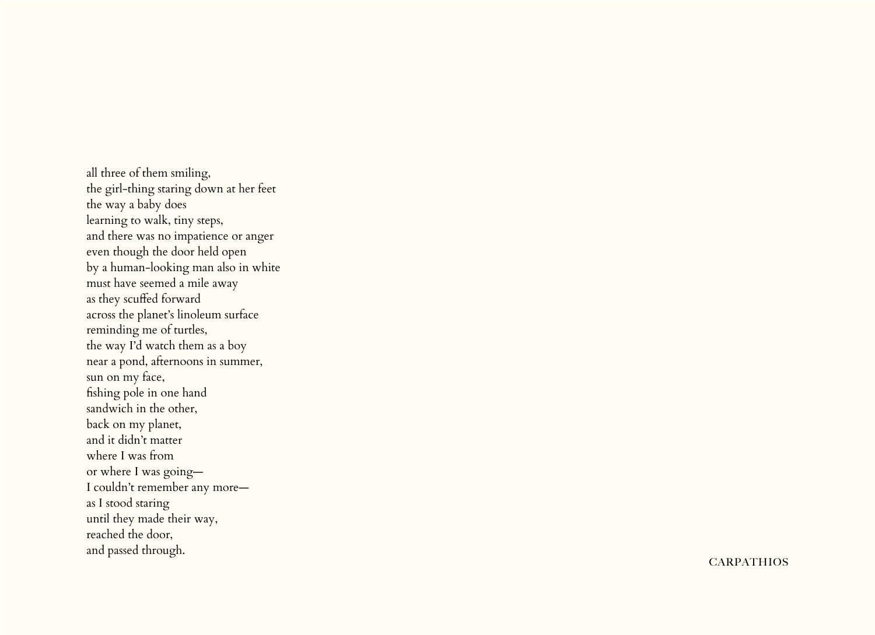all three of them smiling, the girl-thing staring down at her feet the way a baby does learning to walk, tiny steps, and there was no impatience or anger even though the door held open by a human-looking man also in white must have seemed a mile away as they scuffed forward across the planet's linoleum surface reminding me of turtles, the way I'd watch them as a boy near a pond, afternoons in summer, sun on my face, fishing pole in one hand sandwich in the other, back on my planet, and it didn't matter where I was from or where I was going— I couldn't remember any more as I stood staring until they made their way, reached the door, and passed through.

**CARPATHIOS**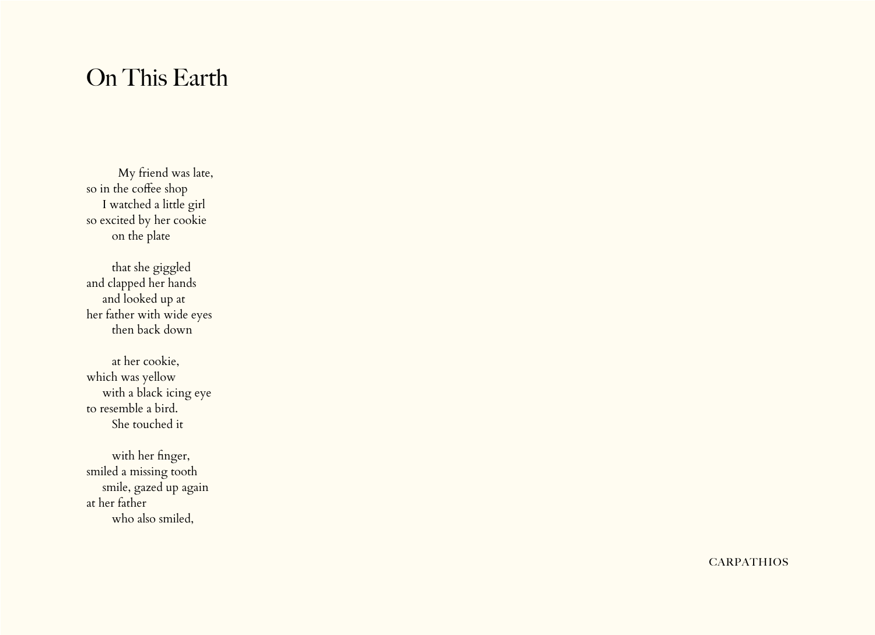## On This Earth

 My friend was late, so in the coffee shop I watched a little girl so excited by her cookie on the plate

 that she giggled and clapped her hands and looked up at her father with wide eyes then back down

 at her cookie, which was yellow with a black icing eye to resemble a bird. She touched it

 with her finger, smiled a missing tooth smile, gazed up again at her father who also smiled,

**CARPATHIOS**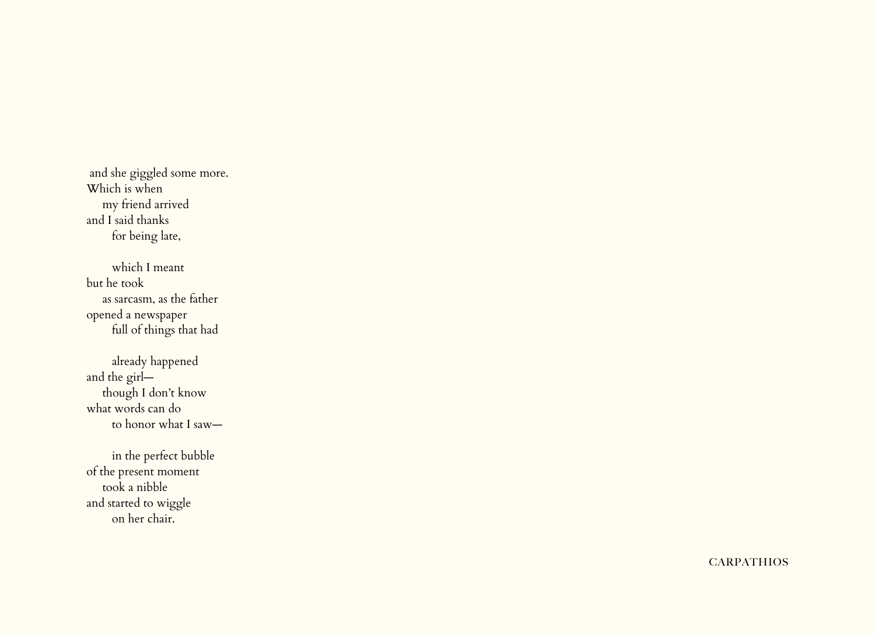and she giggled some more. Which is when my friend arrived and I said thanks for being late,

 which I meant but he took as sarcasm, as the father opened a newspaper full of things that had

 already happened and the girl though I don't know what words can do to honor what I saw—

 in the perfect bubble of the present moment took a nibble and started to wiggle on her chair.

**CARPATHIOS**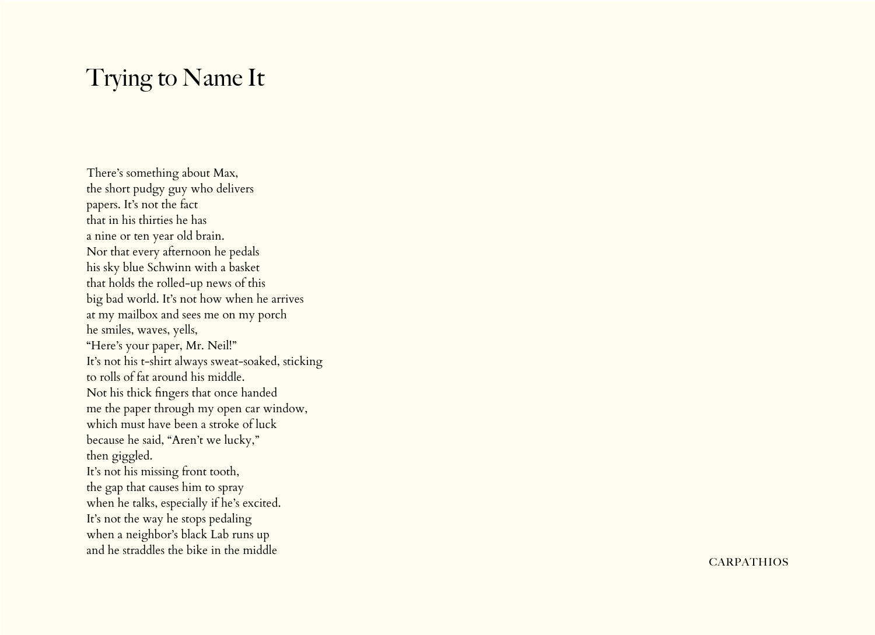## Trying to Name It

There's something about Max, the short pudgy guy who delivers papers. It's not the fact that in his thirties he has a nine or ten year old brain. Nor that every afternoon he pedals his sky blue Schwinn with a basket that holds the rolled-up news of this big bad world. It's not how when he arrives at my mailbox and sees me on my porch he smiles, waves, yells, "Here's your paper, Mr. Neil!" It's not his t-shirt always sweat-soaked, sticking to rolls of fat around his middle. Not his thick fingers that once handed me the paper through my open car window, which must have been a stroke of luck because he said, "Aren't we lucky," then giggled. It's not his missing front tooth, the gap that causes him to spray when he talks, especially if he's excited. It's not the way he stops pedaling when a neighbor's black Lab runs up and he straddles the bike in the middle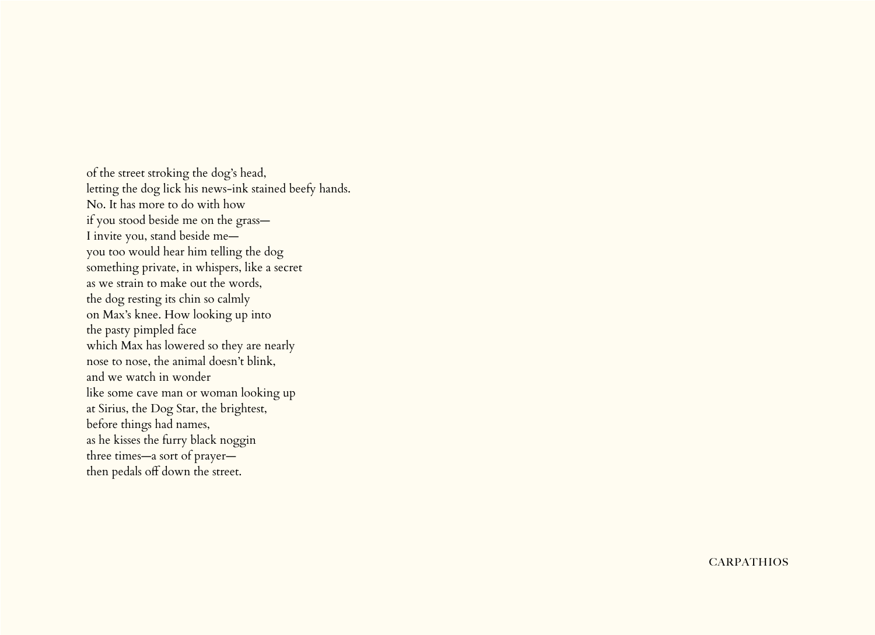of the street stroking the dog's head, letting the dog lick his news-ink stained beefy hands. No. It has more to do with how if you stood beside me on the grass— I invite you, stand beside me you too would hear him telling the dog something private, in whispers, like a secret as we strain to make out the words, the dog resting its chin so calmly on Max's knee. How looking up into the pasty pimpled face which Max has lowered so they are nearly nose to nose, the animal doesn't blink, and we watch in wonder like some cave man or woman looking up at Sirius, the Dog Star, the brightest, before things had names, as he kisses the furry black noggin three times—a sort of prayer then pedals off down the street.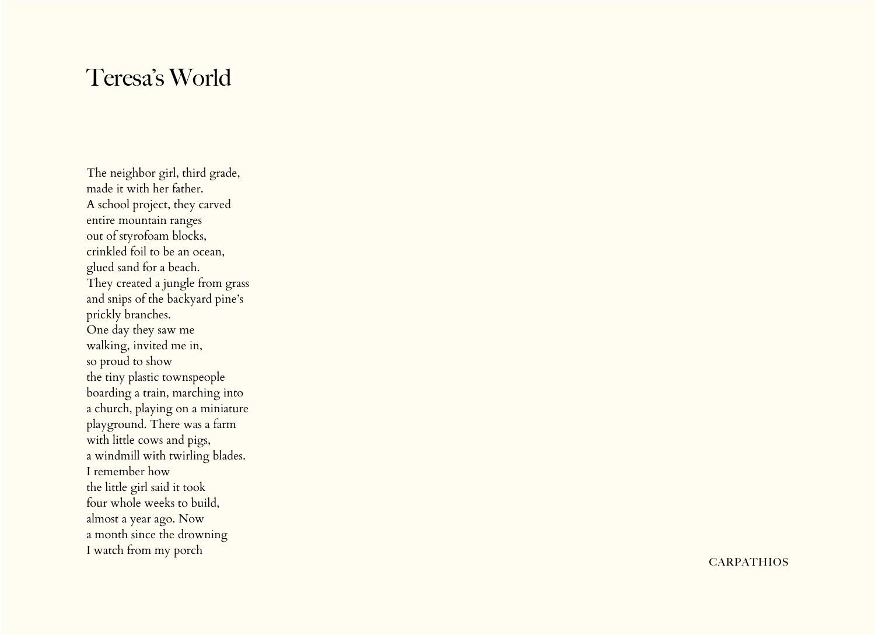## Teresa's World

The neighbor girl, third grade, made it with her father. A school project, they carved entire mountain ranges out of styrofoam blocks, crinkled foil to be an ocean, glued sand for a beach. They created a jungle from grass and snips of the backyard pine's prickly branches. One day they saw me walking, invited me in, so proud to show the tiny plastic townspeople boarding a train, marching into a church, playing on a miniature playground. There was a farm with little cows and pigs, a windmill with twirling blades. I remember how the little girl said it took four whole weeks to build, almost a year ago. Now a month since the drowning I watch from my porch